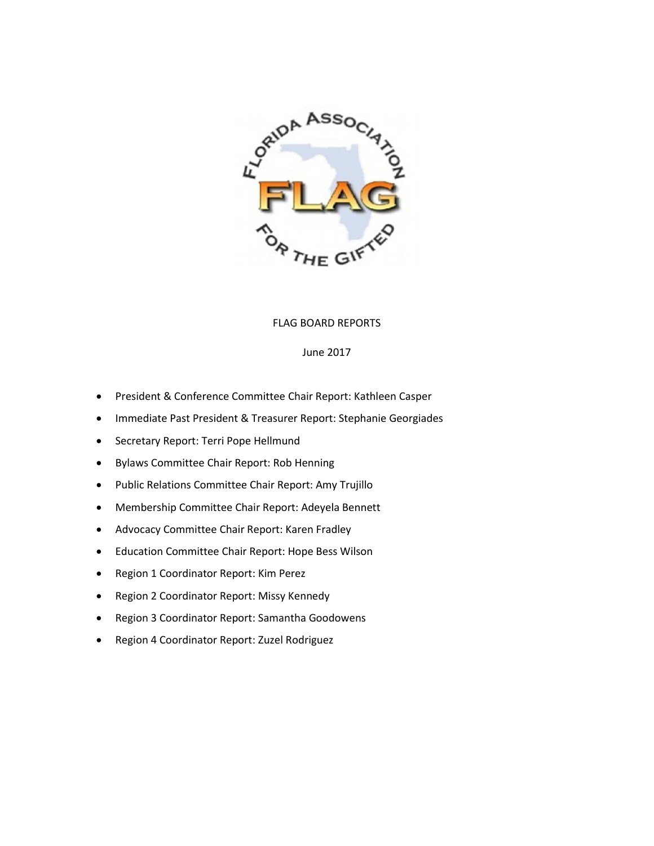

## FLAG BOARD REPORTS

### June 2017

- President & Conference Committee Chair Report: Kathleen Casper
- Immediate Past President & Treasurer Report: Stephanie Georgiades
- Secretary Report: Terri Pope Hellmund
- Bylaws Committee Chair Report: Rob Henning
- Public Relations Committee Chair Report: Amy Trujillo
- Membership Committee Chair Report: Adeyela Bennett
- Advocacy Committee Chair Report: Karen Fradley
- Education Committee Chair Report: Hope Bess Wilson
- Region 1 Coordinator Report: Kim Perez
- Region 2 Coordinator Report: Missy Kennedy
- Region 3 Coordinator Report: Samantha Goodowens
- Region 4 Coordinator Report: Zuzel Rodriguez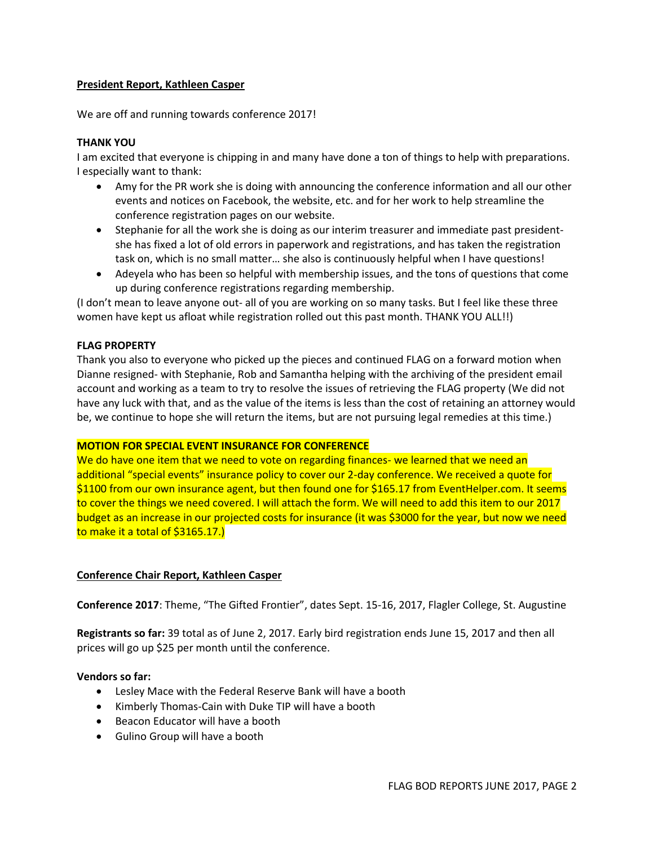## **President Report, Kathleen Casper**

We are off and running towards conference 2017!

### **THANK YOU**

I am excited that everyone is chipping in and many have done a ton of things to help with preparations. I especially want to thank:

- Amy for the PR work she is doing with announcing the conference information and all our other events and notices on Facebook, the website, etc. and for her work to help streamline the conference registration pages on our website.
- Stephanie for all the work she is doing as our interim treasurer and immediate past presidentshe has fixed a lot of old errors in paperwork and registrations, and has taken the registration task on, which is no small matter… she also is continuously helpful when I have questions!
- Adeyela who has been so helpful with membership issues, and the tons of questions that come up during conference registrations regarding membership.

(I don't mean to leave anyone out- all of you are working on so many tasks. But I feel like these three women have kept us afloat while registration rolled out this past month. THANK YOU ALL!!)

#### **FLAG PROPERTY**

Thank you also to everyone who picked up the pieces and continued FLAG on a forward motion when Dianne resigned- with Stephanie, Rob and Samantha helping with the archiving of the president email account and working as a team to try to resolve the issues of retrieving the FLAG property (We did not have any luck with that, and as the value of the items is less than the cost of retaining an attorney would be, we continue to hope she will return the items, but are not pursuing legal remedies at this time.)

#### **MOTION FOR SPECIAL EVENT INSURANCE FOR CONFERENCE**

We do have one item that we need to vote on regarding finances- we learned that we need an additional "special events" insurance policy to cover our 2-day conference. We received a quote for \$1100 from our own insurance agent, but then found one for \$165.17 from EventHelper.com. It seems to cover the things we need covered. I will attach the form. We will need to add this item to our 2017 budget as an increase in our projected costs for insurance (it was \$3000 for the year, but now we need to make it a total of \$3165.17.)

#### **Conference Chair Report, Kathleen Casper**

**Conference 2017**: Theme, "The Gifted Frontier", dates Sept. 15-16, 2017, Flagler College, St. Augustine

**Registrants so far:** 39 total as of June 2, 2017. Early bird registration ends June 15, 2017 and then all prices will go up \$25 per month until the conference.

#### **Vendors so far:**

- Lesley Mace with the Federal Reserve Bank will have a booth
- Kimberly Thomas-Cain with Duke TIP will have a booth
- Beacon Educator will have a booth
- Gulino Group will have a booth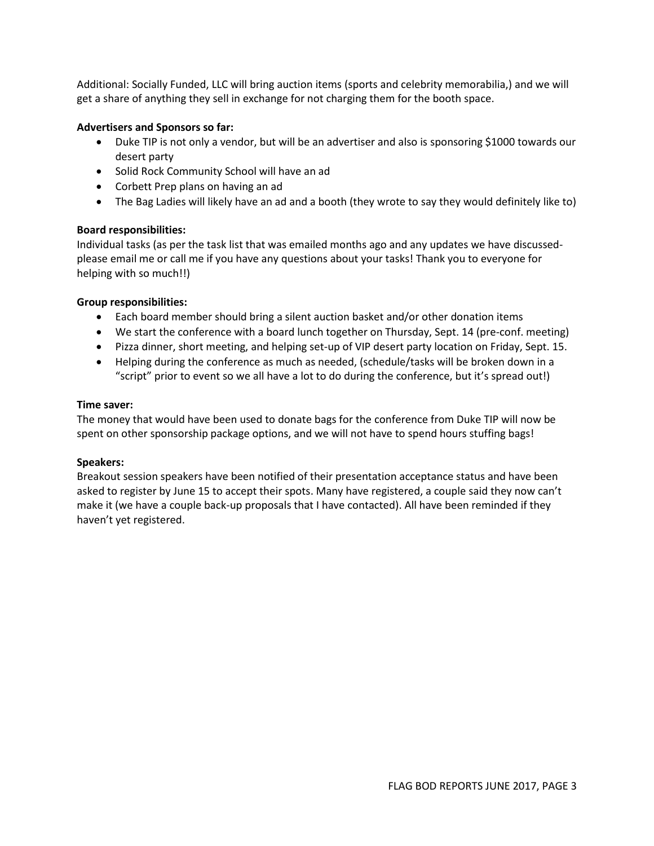Additional: Socially Funded, LLC will bring auction items (sports and celebrity memorabilia,) and we will get a share of anything they sell in exchange for not charging them for the booth space.

## **Advertisers and Sponsors so far:**

- Duke TIP is not only a vendor, but will be an advertiser and also is sponsoring \$1000 towards our desert party
- Solid Rock Community School will have an ad
- Corbett Prep plans on having an ad
- The Bag Ladies will likely have an ad and a booth (they wrote to say they would definitely like to)

## **Board responsibilities:**

Individual tasks (as per the task list that was emailed months ago and any updates we have discussedplease email me or call me if you have any questions about your tasks! Thank you to everyone for helping with so much!!)

## **Group responsibilities:**

- Each board member should bring a silent auction basket and/or other donation items
- We start the conference with a board lunch together on Thursday, Sept. 14 (pre-conf. meeting)
- Pizza dinner, short meeting, and helping set-up of VIP desert party location on Friday, Sept. 15.
- Helping during the conference as much as needed, (schedule/tasks will be broken down in a "script" prior to event so we all have a lot to do during the conference, but it's spread out!)

## **Time saver:**

The money that would have been used to donate bags for the conference from Duke TIP will now be spent on other sponsorship package options, and we will not have to spend hours stuffing bags!

## **Speakers:**

Breakout session speakers have been notified of their presentation acceptance status and have been asked to register by June 15 to accept their spots. Many have registered, a couple said they now can't make it (we have a couple back-up proposals that I have contacted). All have been reminded if they haven't yet registered.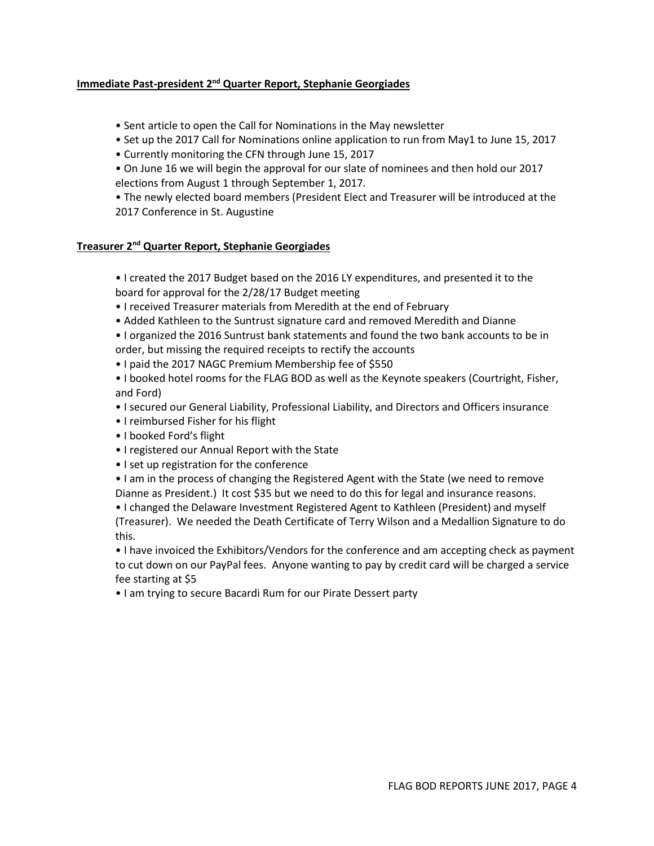## **Immediate Past-president 2<sup>nd</sup> Quarter Report, Stephanie Georgiades**

- Sent article to open the Call for Nominations in the May newsletter
- Set up the 2017 Call for Nominations online application to run from May1 to June 15, 2017
- Currently monitoring the CFN through June 15, 2017
- On June 16 we will begin the approval for our slate of nominees and then hold our 2017 elections from August 1 through September 1, 2017.

• The newly elected board members (President Elect and Treasurer will be introduced at the 2017 Conference in St. Augustine

## **Treasurer 2nd Quarter Report, Stephanie Georgiades**

• I created the 2017 Budget based on the 2016 LY expenditures, and presented it to the board for approval for the 2/28/17 Budget meeting

- I received Treasurer materials from Meredith at the end of February
- Added Kathleen to the Suntrust signature card and removed Meredith and Dianne
- I organized the 2016 Suntrust bank statements and found the two bank accounts to be in order, but missing the required receipts to rectify the accounts
- I paid the 2017 NAGC Premium Membership fee of \$550

• I booked hotel rooms for the FLAG BOD as well as the Keynote speakers (Courtright, Fisher, and Ford)

- I secured our General Liability, Professional Liability, and Directors and Officers insurance
- I reimbursed Fisher for his flight
- I booked Ford's flight
- I registered our Annual Report with the State
- I set up registration for the conference
- I am in the process of changing the Registered Agent with the State (we need to remove Dianne as President.) It cost \$35 but we need to do this for legal and insurance reasons.

• I changed the Delaware Investment Registered Agent to Kathleen (President) and myself (Treasurer). We needed the Death Certificate of Terry Wilson and a Medallion Signature to do this.

• I have invoiced the Exhibitors/Vendors for the conference and am accepting check as payment to cut down on our PayPal fees. Anyone wanting to pay by credit card will be charged a service fee starting at \$5

• I am trying to secure Bacardi Rum for our Pirate Dessert party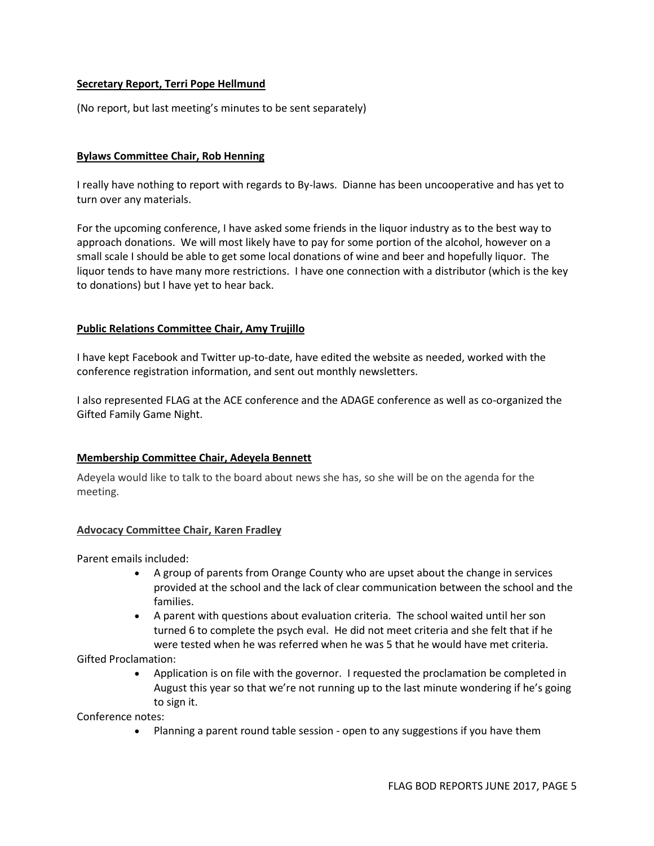## **Secretary Report, Terri Pope Hellmund**

(No report, but last meeting's minutes to be sent separately)

## **Bylaws Committee Chair, Rob Henning**

I really have nothing to report with regards to By-laws. Dianne has been uncooperative and has yet to turn over any materials.

For the upcoming conference, I have asked some friends in the liquor industry as to the best way to approach donations. We will most likely have to pay for some portion of the alcohol, however on a small scale I should be able to get some local donations of wine and beer and hopefully liquor. The liquor tends to have many more restrictions. I have one connection with a distributor (which is the key to donations) but I have yet to hear back.

## **Public Relations Committee Chair, Amy Trujillo**

I have kept Facebook and Twitter up-to-date, have edited the website as needed, worked with the conference registration information, and sent out monthly newsletters.

I also represented FLAG at the ACE conference and the ADAGE conference as well as co-organized the Gifted Family Game Night.

## **Membership Committee Chair, Adeyela Bennett**

Adeyela would like to talk to the board about news she has, so she will be on the agenda for the meeting.

## **Advocacy Committee Chair, Karen Fradley**

Parent emails included:

- A group of parents from Orange County who are upset about the change in services provided at the school and the lack of clear communication between the school and the families.
- A parent with questions about evaluation criteria. The school waited until her son turned 6 to complete the psych eval. He did not meet criteria and she felt that if he were tested when he was referred when he was 5 that he would have met criteria.

Gifted Proclamation:

• Application is on file with the governor. I requested the proclamation be completed in August this year so that we're not running up to the last minute wondering if he's going to sign it.

Conference notes:

• Planning a parent round table session - open to any suggestions if you have them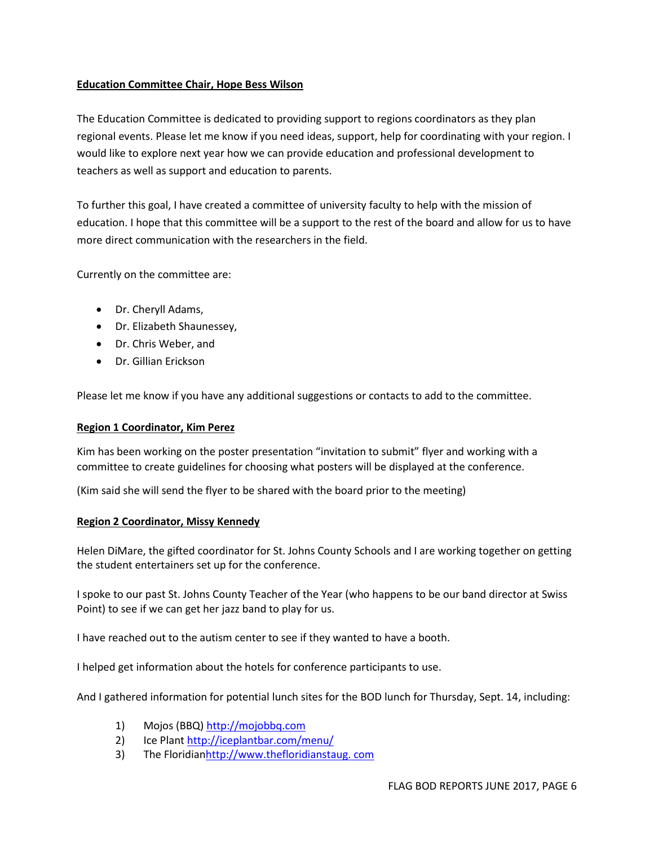## **Education Committee Chair, Hope Bess Wilson**

The Education Committee is dedicated to providing support to regions coordinators as they plan regional events. Please let me know if you need ideas, support, help for coordinating with your region. I would like to explore next year how we can provide education and professional development to teachers as well as support and education to parents.

To further this goal, I have created a committee of university faculty to help with the mission of education. I hope that this committee will be a support to the rest of the board and allow for us to have more direct communication with the researchers in the field.

Currently on the committee are:

- Dr. Cheryll Adams,
- Dr. Elizabeth Shaunessey,
- Dr. Chris Weber, and
- Dr. Gillian Erickson

Please let me know if you have any additional suggestions or contacts to add to the committee.

#### **Region 1 Coordinator, Kim Perez**

Kim has been working on the poster presentation "invitation to submit" flyer and working with a committee to create guidelines for choosing what posters will be displayed at the conference.

(Kim said she will send the flyer to be shared with the board prior to the meeting)

#### **Region 2 Coordinator, Missy Kennedy**

Helen DiMare, the gifted coordinator for St. Johns County Schools and I are working together on getting the student entertainers set up for the conference.

I spoke to our past St. Johns County Teacher of the Year (who happens to be our band director at Swiss Point) to see if we can get her jazz band to play for us.

I have reached out to the autism center to see if they wanted to have a booth.

I helped get information about the hotels for conference participants to use.

And I gathered information for potential lunch sites for the BOD lunch for Thursday, Sept. 14, including:

- 1) Mojos (BBQ) [http://mojobbq.com](http://mojobbq.com/)
- 2) Ice Plant <http://iceplantbar.com/menu/>
- 3) The Floridia[nhttp://www.thefloridianstaug. com](http://www.thefloridianstaug.com/)